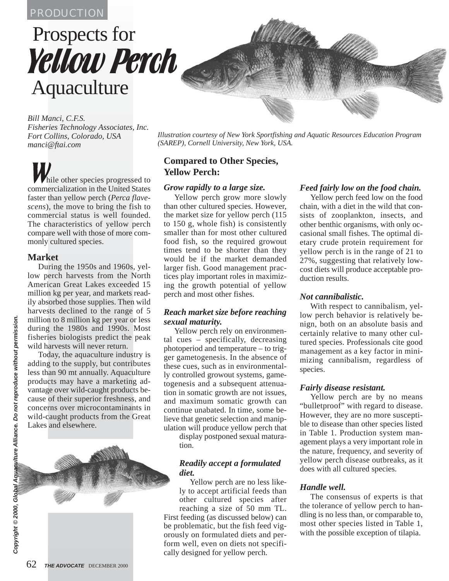# PRODUCTION

# Prospects for Yellow Perch Aquaculture

*Bill Manci, C.F.S. Fisheries Technology Associates, Inc. Fort Collins, Colorado, USA manci@ftai.com*

hile other species progressed to commercialization in the United States faster than yellow perch (*Perca flavescens*), the move to bring the fish to commercial status is well founded. The characteristics of yellow perch compare well with those of more commonly cultured species.

## **Market**

During the 1950s and 1960s, yellow perch harvests from the North American Great Lakes exceeded 15 million kg per year, and markets readily absorbed those supplies. Then wild harvests declined to the range of 5 million to 8 million kg per year or less during the 1980s and 1990s. Most fisheries biologists predict the peak wild harvests will never return.

Today, the aquaculture industry is adding to the supply, but contributes less than 90 mt annually. Aquaculture products may have a marketing advantage over wild-caught products because of their superior freshness, and concerns over microcontaminants in wild-caught products from the Great Lakes and elsewhere.



*Illustration courtesy of New York Sportfishing and Aquatic Resources Education Program (SAREP), Cornell University, New York, USA.*

# **Compared to Other Species, Yellow Perch:**

#### *Grow rapidly to a large size.*

Yellow perch grow more slowly than other cultured species. However, the market size for yellow perch (115 to 150 g, whole fish) is consistently smaller than for most other cultured food fish, so the required growout times tend to be shorter than they would be if the market demanded larger fish. Good management practices play important roles in maximizing the growth potential of yellow perch and most other fishes.

#### *Reach market size before reaching sexual maturity.*

Yellow perch rely on environmental cues – specifically, decreasing photoperiod and temperature – to trigger gametogenesis. In the absence of these cues, such as in environmentally controlled growout systems, gametogenesis and a subsequent attenuation in somatic growth are not issues, and maximum somatic growth can continue unabated. In time, some believe that genetic selection and manipulation will produce yellow perch that

display postponed sexual maturation.

#### *Readily accept a formulated diet.*

Yellow perch are no less likely to accept artificial feeds than other cultured species after reaching a size of 50 mm TL. First feeding (as discussed below) can be problematic, but the fish feed vigorously on formulated diets and perform well, even on diets not specifically designed for yellow perch.

## *Feed fairly low on the food chain.*

Yellow perch feed low on the food chain, with a diet in the wild that consists of zooplankton, insects, and other benthic organisms, with only occasional small fishes. The optimal dietary crude protein requirement for yellow perch is in the range of 21 to 27%, suggesting that relatively lowcost diets will produce acceptable production results.

#### *Not cannibalistic.*

With respect to cannibalism, yellow perch behavior is relatively benign, both on an absolute basis and certainly relative to many other cultured species. Professionals cite good management as a key factor in minimizing cannibalism, regardless of species.

#### *Fairly disease resistant.*

Yellow perch are by no means "bulletproof" with regard to disease. However, they are no more susceptible to disease than other species listed in Table 1. Production system management plays a very important role in the nature, frequency, and severity of yellow perch disease outbreaks, as it does with all cultured species.

#### *Handle well.*

The consensus of experts is that the tolerance of yellow perch to handling is no less than, or comparable to, most other species listed in Table 1, with the possible exception of tilapia.